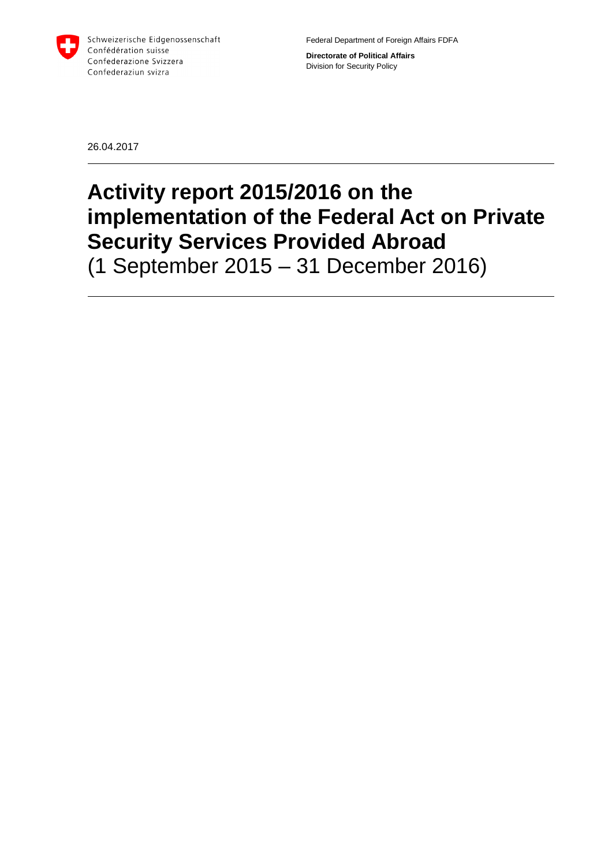

Federal Department of Foreign Affairs FDFA

**Directorate of Political Affairs**  Division for Security Policy

26.04.2017

# **Activity report 2015/2016 on the implementation of the Federal Act on Private Security Services Provided Abroad**  (1 September 2015 – 31 December 2016)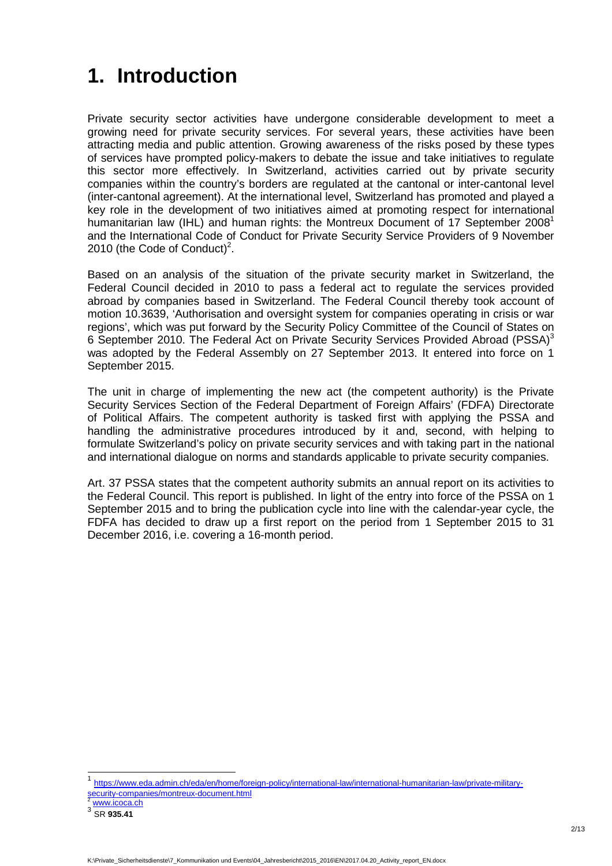## **1. Introduction**

Private security sector activities have undergone considerable development to meet a growing need for private security services. For several years, these activities have been attracting media and public attention. Growing awareness of the risks posed by these types of services have prompted policy-makers to debate the issue and take initiatives to regulate this sector more effectively. In Switzerland, activities carried out by private security companies within the country's borders are regulated at the cantonal or inter-cantonal level (inter-cantonal agreement). At the international level, Switzerland has promoted and played a key role in the development of two initiatives aimed at promoting respect for international humanitarian law (IHL) and human rights: the Montreux Document of 17 September 2008<sup>1</sup> and the International Code of Conduct for Private Security Service Providers of 9 November 2010 (the Code of Conduct) $2$ .

Based on an analysis of the situation of the private security market in Switzerland, the Federal Council decided in 2010 to pass a federal act to regulate the services provided abroad by companies based in Switzerland. The Federal Council thereby took account of motion 10.3639, 'Authorisation and oversight system for companies operating in crisis or war regions', which was put forward by the Security Policy Committee of the Council of States on 6 September 2010. The Federal Act on Private Security Services Provided Abroad (PSSA)<sup>3</sup> was adopted by the Federal Assembly on 27 September 2013. It entered into force on 1 September 2015.

The unit in charge of implementing the new act (the competent authority) is the Private Security Services Section of the Federal Department of Foreign Affairs' (FDFA) Directorate of Political Affairs. The competent authority is tasked first with applying the PSSA and handling the administrative procedures introduced by it and, second, with helping to formulate Switzerland's policy on private security services and with taking part in the national and international dialogue on norms and standards applicable to private security companies.

Art. 37 PSSA states that the competent authority submits an annual report on its activities to the Federal Council. This report is published. In light of the entry into force of the PSSA on 1 September 2015 and to bring the publication cycle into line with the calendar-year cycle, the FDFA has decided to draw up a first report on the period from 1 September 2015 to 31 December 2016, i.e. covering a 16-month period.

 $\overline{a}$ 

<sup>1</sup> https://www.eda.admin.ch/eda/en/home/foreign-policy/international-law/international-humanitarian-law/private-militarysecurity-companies/montreux-document.html

www.icoca.ch

<sup>3</sup> SR **935.41**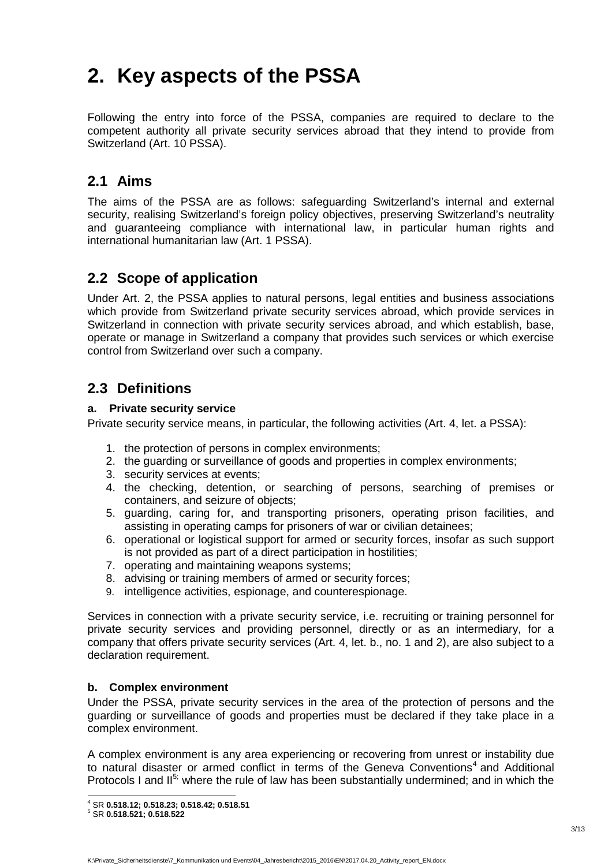# **2. Key aspects of the PSSA**

Following the entry into force of the PSSA, companies are required to declare to the competent authority all private security services abroad that they intend to provide from Switzerland (Art. 10 PSSA).

### **2.1 Aims**

The aims of the PSSA are as follows: safeguarding Switzerland's internal and external security, realising Switzerland's foreign policy objectives, preserving Switzerland's neutrality and guaranteeing compliance with international law, in particular human rights and international humanitarian law (Art. 1 PSSA).

### **2.2 Scope of application**

Under Art. 2, the PSSA applies to natural persons, legal entities and business associations which provide from Switzerland private security services abroad, which provide services in Switzerland in connection with private security services abroad, and which establish, base, operate or manage in Switzerland a company that provides such services or which exercise control from Switzerland over such a company.

### **2.3 Definitions**

#### **a. Private security service**

Private security service means, in particular, the following activities (Art. 4, let. a PSSA):

- 1. the protection of persons in complex environments;
- 2. the guarding or surveillance of goods and properties in complex environments;
- 3. security services at events;
- 4. the checking, detention, or searching of persons, searching of premises or containers, and seizure of objects;
- 5. guarding, caring for, and transporting prisoners, operating prison facilities, and assisting in operating camps for prisoners of war or civilian detainees;
- 6. operational or logistical support for armed or security forces, insofar as such support is not provided as part of a direct participation in hostilities;
- 7. operating and maintaining weapons systems;
- 8. advising or training members of armed or security forces;
- 9. intelligence activities, espionage, and counterespionage.

Services in connection with a private security service, i.e. recruiting or training personnel for private security services and providing personnel, directly or as an intermediary, for a company that offers private security services (Art. 4, let. b., no. 1 and 2), are also subject to a declaration requirement.

#### **b. Complex environment**

Under the PSSA, private security services in the area of the protection of persons and the guarding or surveillance of goods and properties must be declared if they take place in a complex environment.

A complex environment is any area experiencing or recovering from unrest or instability due to natural disaster or armed conflict in terms of the Geneva Conventions<sup>4</sup> and Additional Protocols I and II<sup>5;</sup> where the rule of law has been substantially undermined; and in which the

 4 SR **0.518.12; 0.518.23; 0.518.42; 0.518.51**

<sup>5</sup> SR **0.518.521; 0.518.522**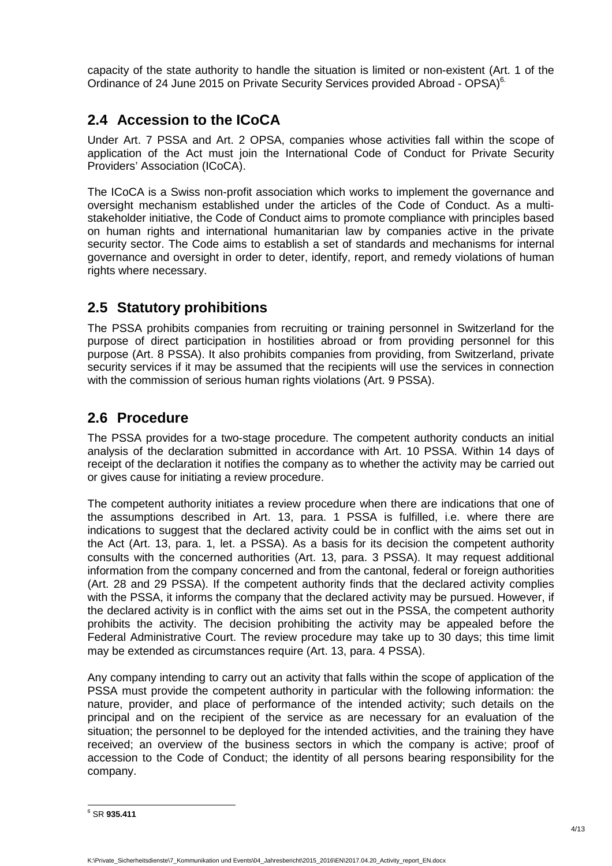capacity of the state authority to handle the situation is limited or non-existent (Art. 1 of the Ordinance of 24 June 2015 on Private Security Services provided Abroad - OPSA)<sup>6.</sup>

### **2.4 Accession to the ICoCA**

Under Art. 7 PSSA and Art. 2 OPSA, companies whose activities fall within the scope of application of the Act must join the International Code of Conduct for Private Security Providers' Association (ICoCA).

The ICoCA is a Swiss non-profit association which works to implement the governance and oversight mechanism established under the articles of the Code of Conduct. As a multistakeholder initiative, the Code of Conduct aims to promote compliance with principles based on human rights and international humanitarian law by companies active in the private security sector. The Code aims to establish a set of standards and mechanisms for internal governance and oversight in order to deter, identify, report, and remedy violations of human rights where necessary.

### **2.5 Statutory prohibitions**

The PSSA prohibits companies from recruiting or training personnel in Switzerland for the purpose of direct participation in hostilities abroad or from providing personnel for this purpose (Art. 8 PSSA). It also prohibits companies from providing, from Switzerland, private security services if it may be assumed that the recipients will use the services in connection with the commission of serious human rights violations (Art. 9 PSSA).

### **2.6 Procedure**

The PSSA provides for a two-stage procedure. The competent authority conducts an initial analysis of the declaration submitted in accordance with Art. 10 PSSA. Within 14 days of receipt of the declaration it notifies the company as to whether the activity may be carried out or gives cause for initiating a review procedure.

The competent authority initiates a review procedure when there are indications that one of the assumptions described in Art. 13, para. 1 PSSA is fulfilled, i.e. where there are indications to suggest that the declared activity could be in conflict with the aims set out in the Act (Art. 13, para. 1, let. a PSSA). As a basis for its decision the competent authority consults with the concerned authorities (Art. 13, para. 3 PSSA). It may request additional information from the company concerned and from the cantonal, federal or foreign authorities (Art. 28 and 29 PSSA). If the competent authority finds that the declared activity complies with the PSSA, it informs the company that the declared activity may be pursued. However, if the declared activity is in conflict with the aims set out in the PSSA, the competent authority prohibits the activity. The decision prohibiting the activity may be appealed before the Federal Administrative Court. The review procedure may take up to 30 days; this time limit may be extended as circumstances require (Art. 13, para. 4 PSSA).

Any company intending to carry out an activity that falls within the scope of application of the PSSA must provide the competent authority in particular with the following information: the nature, provider, and place of performance of the intended activity; such details on the principal and on the recipient of the service as are necessary for an evaluation of the situation; the personnel to be deployed for the intended activities, and the training they have received; an overview of the business sectors in which the company is active; proof of accession to the Code of Conduct; the identity of all persons bearing responsibility for the company.

l 6 SR **935.411**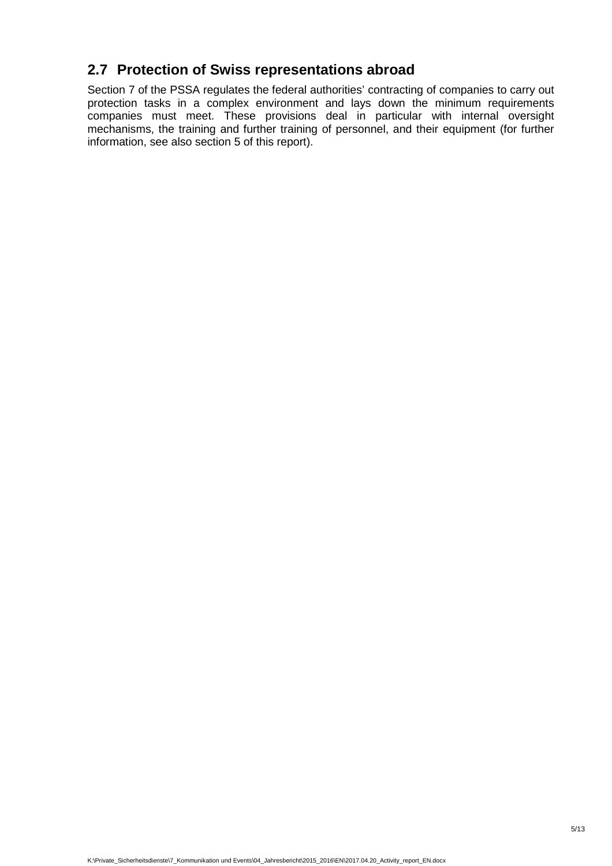#### **2.7 Protection of Swiss representations abroad**

Section 7 of the PSSA regulates the federal authorities' contracting of companies to carry out protection tasks in a complex environment and lays down the minimum requirements companies must meet. These provisions deal in particular with internal oversight mechanisms, the training and further training of personnel, and their equipment (for further information, see also section 5 of this report).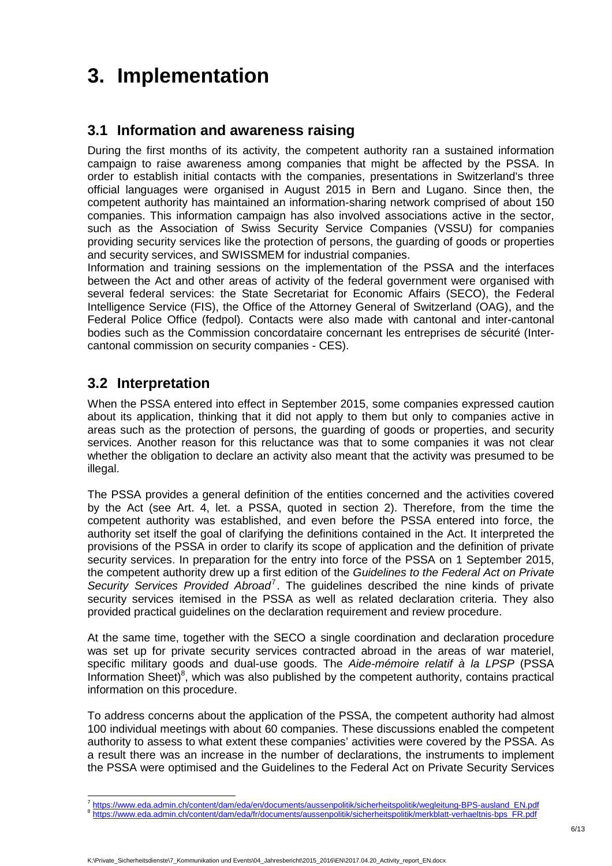# **3. Implementation**

#### **3.1 Information and awareness raising**

During the first months of its activity, the competent authority ran a sustained information campaign to raise awareness among companies that might be affected by the PSSA. In order to establish initial contacts with the companies, presentations in Switzerland's three official languages were organised in August 2015 in Bern and Lugano. Since then, the competent authority has maintained an information-sharing network comprised of about 150 companies. This information campaign has also involved associations active in the sector, such as the Association of Swiss Security Service Companies (VSSU) for companies providing security services like the protection of persons, the guarding of goods or properties and security services, and SWISSMEM for industrial companies.

Information and training sessions on the implementation of the PSSA and the interfaces between the Act and other areas of activity of the federal government were organised with several federal services: the State Secretariat for Economic Affairs (SECO), the Federal Intelligence Service (FIS), the Office of the Attorney General of Switzerland (OAG), and the Federal Police Office (fedpol). Contacts were also made with cantonal and inter-cantonal bodies such as the Commission concordataire concernant les entreprises de sécurité (Intercantonal commission on security companies - CES).

### **3.2 Interpretation**

When the PSSA entered into effect in September 2015, some companies expressed caution about its application, thinking that it did not apply to them but only to companies active in areas such as the protection of persons, the guarding of goods or properties, and security services. Another reason for this reluctance was that to some companies it was not clear whether the obligation to declare an activity also meant that the activity was presumed to be illegal.

The PSSA provides a general definition of the entities concerned and the activities covered by the Act (see Art. 4, let. a PSSA, quoted in section 2). Therefore, from the time the competent authority was established, and even before the PSSA entered into force, the authority set itself the goal of clarifying the definitions contained in the Act. It interpreted the provisions of the PSSA in order to clarify its scope of application and the definition of private security services. In preparation for the entry into force of the PSSA on 1 September 2015, the competent authority drew up a first edition of the Guidelines to the Federal Act on Private Security Services Provided Abroad<sup>7</sup>. The guidelines described the nine kinds of private security services itemised in the PSSA as well as related declaration criteria. They also provided practical guidelines on the declaration requirement and review procedure.

At the same time, together with the SECO a single coordination and declaration procedure was set up for private security services contracted abroad in the areas of war materiel, specific military goods and dual-use goods. The Aide-mémoire relatif à la LPSP (PSSA Information Sheet) $<sup>8</sup>$ , which was also published by the competent authority, contains practical</sup> information on this procedure.

To address concerns about the application of the PSSA, the competent authority had almost 100 individual meetings with about 60 companies. These discussions enabled the competent authority to assess to what extent these companies' activities were covered by the PSSA. As a result there was an increase in the number of declarations, the instruments to implement the PSSA were optimised and the Guidelines to the Federal Act on Private Security Services

l 7 https://www.eda.admin.ch/content/dam/eda/en/documents/aussenpolitik/sicherheitspolitik/wegleitung-BPS-ausland\_EN.pdf

<sup>8</sup> https://www.eda.admin.ch/content/dam/eda/fr/documents/aussenpolitik/sicherheitspolitik/merkblatt-verhaeltnis-bps\_FR.pdf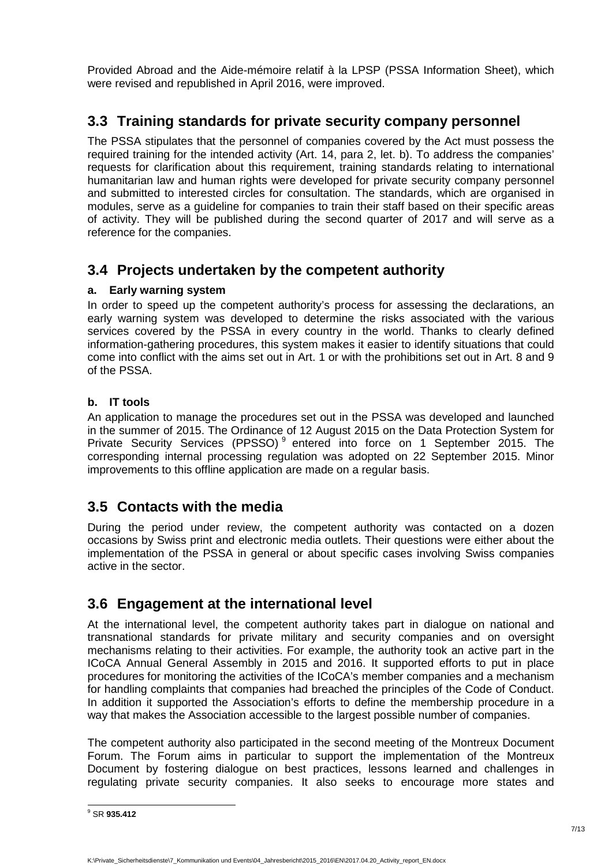Provided Abroad and the Aide-mémoire relatif à la LPSP (PSSA Information Sheet), which were revised and republished in April 2016, were improved.

### **3.3 Training standards for private security company personnel**

The PSSA stipulates that the personnel of companies covered by the Act must possess the required training for the intended activity (Art. 14, para 2, let. b). To address the companies' requests for clarification about this requirement, training standards relating to international humanitarian law and human rights were developed for private security company personnel and submitted to interested circles for consultation. The standards, which are organised in modules, serve as a guideline for companies to train their staff based on their specific areas of activity. They will be published during the second quarter of 2017 and will serve as a reference for the companies.

### **3.4 Projects undertaken by the competent authority**

#### **a. Early warning system**

In order to speed up the competent authority's process for assessing the declarations, an early warning system was developed to determine the risks associated with the various services covered by the PSSA in every country in the world. Thanks to clearly defined information-gathering procedures, this system makes it easier to identify situations that could come into conflict with the aims set out in Art. 1 or with the prohibitions set out in Art. 8 and 9 of the PSSA.

#### **b. IT tools**

An application to manage the procedures set out in the PSSA was developed and launched in the summer of 2015. The Ordinance of 12 August 2015 on the Data Protection System for Private Security Services (PPSSO)<sup>9</sup> entered into force on 1 September 2015. The corresponding internal processing regulation was adopted on 22 September 2015. Minor improvements to this offline application are made on a regular basis.

### **3.5 Contacts with the media**

During the period under review, the competent authority was contacted on a dozen occasions by Swiss print and electronic media outlets. Their questions were either about the implementation of the PSSA in general or about specific cases involving Swiss companies active in the sector.

### **3.6 Engagement at the international level**

At the international level, the competent authority takes part in dialogue on national and transnational standards for private military and security companies and on oversight mechanisms relating to their activities. For example, the authority took an active part in the ICoCA Annual General Assembly in 2015 and 2016. It supported efforts to put in place procedures for monitoring the activities of the ICoCA's member companies and a mechanism for handling complaints that companies had breached the principles of the Code of Conduct. In addition it supported the Association's efforts to define the membership procedure in a way that makes the Association accessible to the largest possible number of companies.

The competent authority also participated in the second meeting of the Montreux Document Forum. The Forum aims in particular to support the implementation of the Montreux Document by fostering dialogue on best practices, lessons learned and challenges in regulating private security companies. It also seeks to encourage more states and

 9 SR **935.412**

K:\Private\_Sicherheitsdienste\7\_Kommunikation und Events\04\_Jahresbericht\2015\_2016\EN\2017.04.20\_Activity\_report\_EN.docx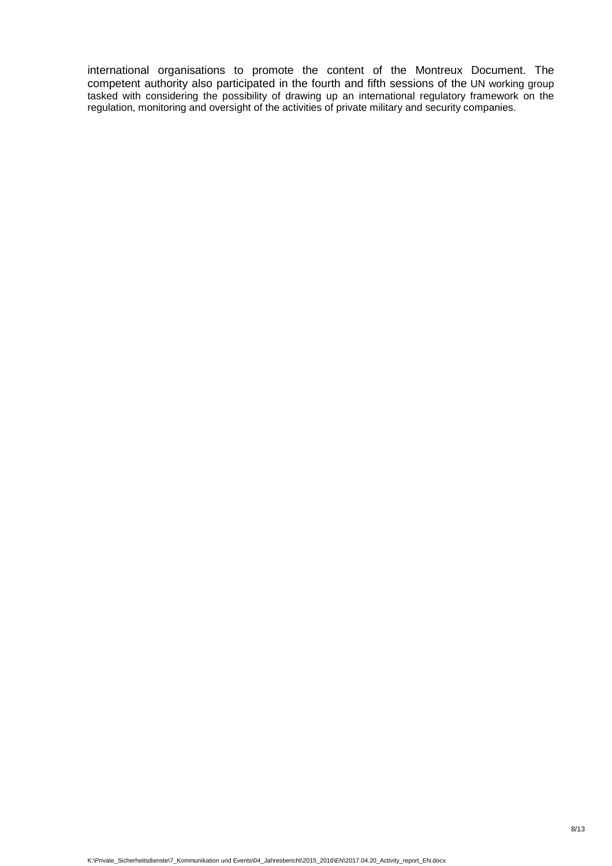international organisations to promote the content of the Montreux Document. The competent authority also participated in the fourth and fifth sessions of the UN working group tasked with considering the possibility of drawing up an international regulatory framework on the regulation, monitoring and oversight of the activities of private military and security companies.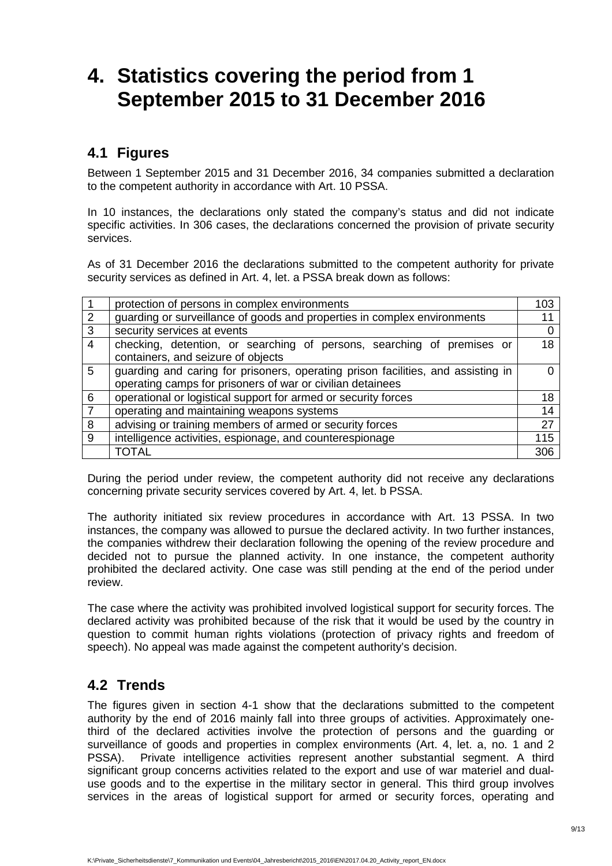### **4. Statistics covering the period from 1 September 2015 to 31 December 2016**

#### **4.1 Figures**

Between 1 September 2015 and 31 December 2016, 34 companies submitted a declaration to the competent authority in accordance with Art. 10 PSSA.

In 10 instances, the declarations only stated the company's status and did not indicate specific activities. In 306 cases, the declarations concerned the provision of private security services.

As of 31 December 2016 the declarations submitted to the competent authority for private security services as defined in Art. 4, let. a PSSA break down as follows:

|                | protection of persons in complex environments                                    | 103 |
|----------------|----------------------------------------------------------------------------------|-----|
| 2              | guarding or surveillance of goods and properties in complex environments         | 11  |
| $\mathbf{3}$   | security services at events                                                      |     |
| $\overline{4}$ | checking, detention, or searching of persons, searching of premises or           | 18  |
|                | containers, and seizure of objects                                               |     |
| 5              | guarding and caring for prisoners, operating prison facilities, and assisting in |     |
|                | operating camps for prisoners of war or civilian detainees                       |     |
| 6              | operational or logistical support for armed or security forces                   | 18  |
| $\overline{7}$ | operating and maintaining weapons systems                                        | 14  |
| 8              | advising or training members of armed or security forces                         | 27  |
| 9              | intelligence activities, espionage, and counterespionage                         | 115 |
|                | <b>TOTAL</b>                                                                     | 306 |

During the period under review, the competent authority did not receive any declarations concerning private security services covered by Art. 4, let. b PSSA.

The authority initiated six review procedures in accordance with Art. 13 PSSA. In two instances, the company was allowed to pursue the declared activity. In two further instances, the companies withdrew their declaration following the opening of the review procedure and decided not to pursue the planned activity. In one instance, the competent authority prohibited the declared activity. One case was still pending at the end of the period under review.

The case where the activity was prohibited involved logistical support for security forces. The declared activity was prohibited because of the risk that it would be used by the country in question to commit human rights violations (protection of privacy rights and freedom of speech). No appeal was made against the competent authority's decision.

### **4.2 Trends**

The figures given in section 4-1 show that the declarations submitted to the competent authority by the end of 2016 mainly fall into three groups of activities. Approximately onethird of the declared activities involve the protection of persons and the guarding or surveillance of goods and properties in complex environments (Art. 4, let. a, no. 1 and 2 PSSA). Private intelligence activities represent another substantial segment. A third significant group concerns activities related to the export and use of war materiel and dualuse goods and to the expertise in the military sector in general. This third group involves services in the areas of logistical support for armed or security forces, operating and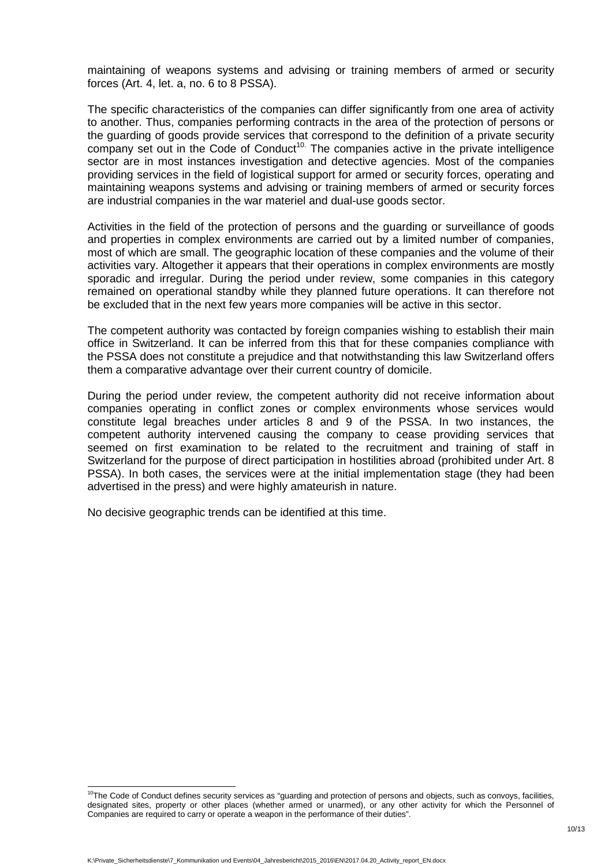maintaining of weapons systems and advising or training members of armed or security forces (Art. 4, let. a, no. 6 to 8 PSSA).

The specific characteristics of the companies can differ significantly from one area of activity to another. Thus, companies performing contracts in the area of the protection of persons or the guarding of goods provide services that correspond to the definition of a private security company set out in the Code of Conduct<sup>10.</sup> The companies active in the private intelligence sector are in most instances investigation and detective agencies. Most of the companies providing services in the field of logistical support for armed or security forces, operating and maintaining weapons systems and advising or training members of armed or security forces are industrial companies in the war materiel and dual-use goods sector.

Activities in the field of the protection of persons and the guarding or surveillance of goods and properties in complex environments are carried out by a limited number of companies, most of which are small. The geographic location of these companies and the volume of their activities vary. Altogether it appears that their operations in complex environments are mostly sporadic and irregular. During the period under review, some companies in this category remained on operational standby while they planned future operations. It can therefore not be excluded that in the next few years more companies will be active in this sector.

The competent authority was contacted by foreign companies wishing to establish their main office in Switzerland. It can be inferred from this that for these companies compliance with the PSSA does not constitute a prejudice and that notwithstanding this law Switzerland offers them a comparative advantage over their current country of domicile.

During the period under review, the competent authority did not receive information about companies operating in conflict zones or complex environments whose services would constitute legal breaches under articles 8 and 9 of the PSSA. In two instances, the competent authority intervened causing the company to cease providing services that seemed on first examination to be related to the recruitment and training of staff in Switzerland for the purpose of direct participation in hostilities abroad (prohibited under Art. 8 PSSA). In both cases, the services were at the initial implementation stage (they had been advertised in the press) and were highly amateurish in nature.

No decisive geographic trends can be identified at this time.

l

 $10$ The Code of Conduct defines security services as "guarding and protection of persons and objects, such as convoys, facilities, designated sites, property or other places (whether armed or unarmed), or any other activity for which the Personnel of Companies are required to carry or operate a weapon in the performance of their duties".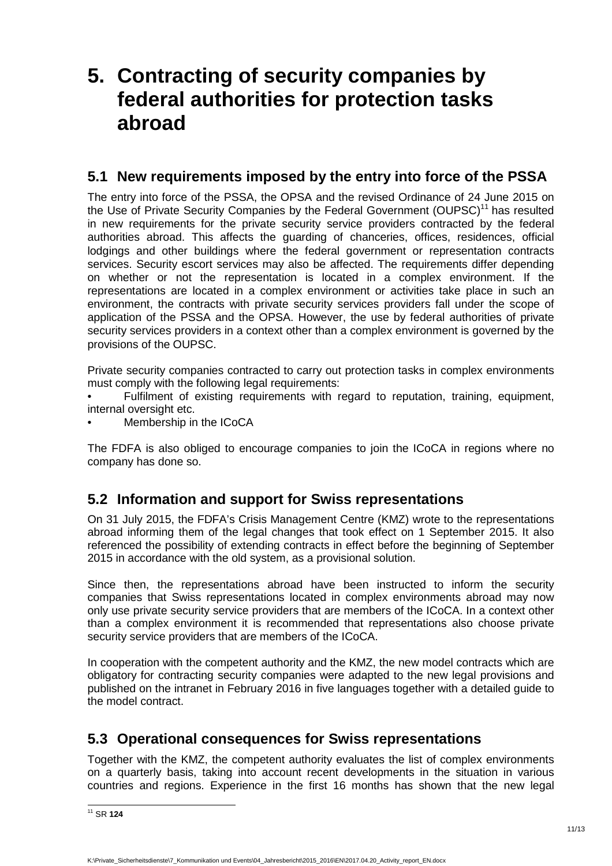## **5. Contracting of security companies by federal authorities for protection tasks abroad**

#### **5.1 New requirements imposed by the entry into force of the PSSA**

The entry into force of the PSSA, the OPSA and the revised Ordinance of 24 June 2015 on the Use of Private Security Companies by the Federal Government (OUPSC)<sup>11</sup> has resulted in new requirements for the private security service providers contracted by the federal authorities abroad. This affects the guarding of chanceries, offices, residences, official lodgings and other buildings where the federal government or representation contracts services. Security escort services may also be affected. The requirements differ depending on whether or not the representation is located in a complex environment. If the representations are located in a complex environment or activities take place in such an environment, the contracts with private security services providers fall under the scope of application of the PSSA and the OPSA. However, the use by federal authorities of private security services providers in a context other than a complex environment is governed by the provisions of the OUPSC.

Private security companies contracted to carry out protection tasks in complex environments must comply with the following legal requirements:

Fulfilment of existing requirements with regard to reputation, training, equipment, internal oversight etc.

Membership in the ICoCA

The FDFA is also obliged to encourage companies to join the ICoCA in regions where no company has done so.

### **5.2 Information and support for Swiss representations**

On 31 July 2015, the FDFA's Crisis Management Centre (KMZ) wrote to the representations abroad informing them of the legal changes that took effect on 1 September 2015. It also referenced the possibility of extending contracts in effect before the beginning of September 2015 in accordance with the old system, as a provisional solution.

Since then, the representations abroad have been instructed to inform the security companies that Swiss representations located in complex environments abroad may now only use private security service providers that are members of the ICoCA. In a context other than a complex environment it is recommended that representations also choose private security service providers that are members of the ICoCA.

In cooperation with the competent authority and the KMZ, the new model contracts which are obligatory for contracting security companies were adapted to the new legal provisions and published on the intranet in February 2016 in five languages together with a detailed guide to the model contract.

### **5.3 Operational consequences for Swiss representations**

Together with the KMZ, the competent authority evaluates the list of complex environments on a quarterly basis, taking into account recent developments in the situation in various countries and regions. Experience in the first 16 months has shown that the new legal

l <sup>11</sup> SR **124**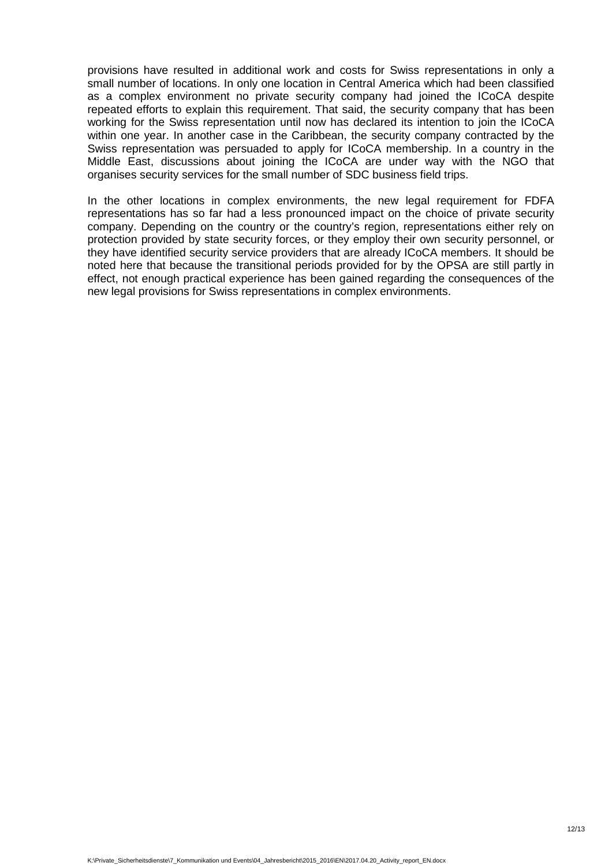provisions have resulted in additional work and costs for Swiss representations in only a small number of locations. In only one location in Central America which had been classified as a complex environment no private security company had joined the ICoCA despite repeated efforts to explain this requirement. That said, the security company that has been working for the Swiss representation until now has declared its intention to join the ICoCA within one year. In another case in the Caribbean, the security company contracted by the Swiss representation was persuaded to apply for ICoCA membership. In a country in the Middle East, discussions about joining the ICoCA are under way with the NGO that organises security services for the small number of SDC business field trips.

In the other locations in complex environments, the new legal requirement for FDFA representations has so far had a less pronounced impact on the choice of private security company. Depending on the country or the country's region, representations either rely on protection provided by state security forces, or they employ their own security personnel, or they have identified security service providers that are already ICoCA members. It should be noted here that because the transitional periods provided for by the OPSA are still partly in effect, not enough practical experience has been gained regarding the consequences of the new legal provisions for Swiss representations in complex environments.